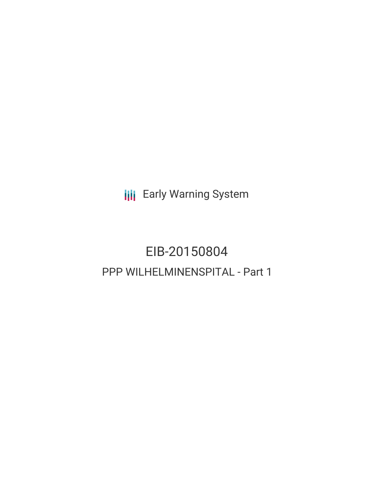**III** Early Warning System

# EIB-20150804 PPP WILHELMINENSPITAL - Part 1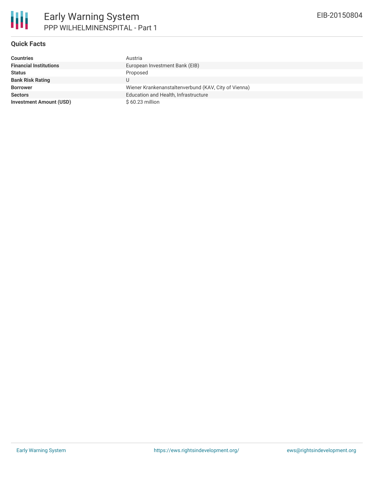

#### **Quick Facts**

| <b>Countries</b>               | Austria                                              |
|--------------------------------|------------------------------------------------------|
| <b>Financial Institutions</b>  | European Investment Bank (EIB)                       |
| <b>Status</b>                  | Proposed                                             |
| <b>Bank Risk Rating</b>        |                                                      |
| <b>Borrower</b>                | Wiener Krankenanstaltenverbund (KAV, City of Vienna) |
| <b>Sectors</b>                 | Education and Health, Infrastructure                 |
| <b>Investment Amount (USD)</b> | $$60.23$ million                                     |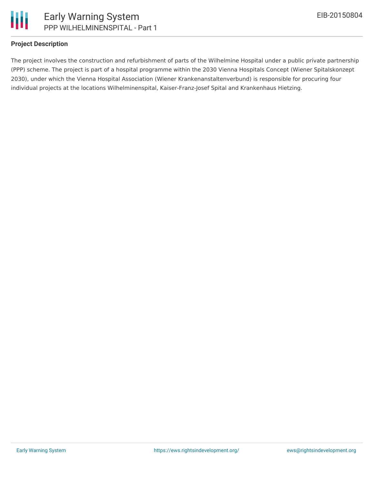

# **Project Description**

The project involves the construction and refurbishment of parts of the Wilhelmine Hospital under a public private partnership (PPP) scheme. The project is part of a hospital programme within the 2030 Vienna Hospitals Concept (Wiener Spitalskonzept 2030), under which the Vienna Hospital Association (Wiener Krankenanstaltenverbund) is responsible for procuring four individual projects at the locations Wilhelminenspital, Kaiser-Franz-Josef Spital and Krankenhaus Hietzing.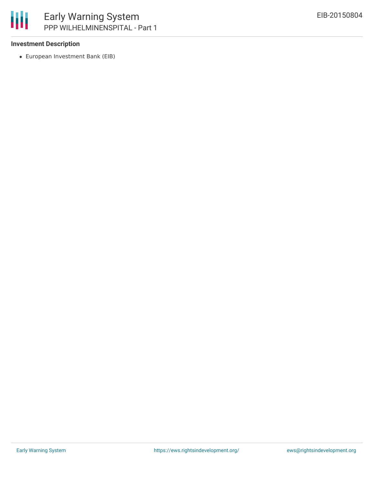

## **Investment Description**

European Investment Bank (EIB)